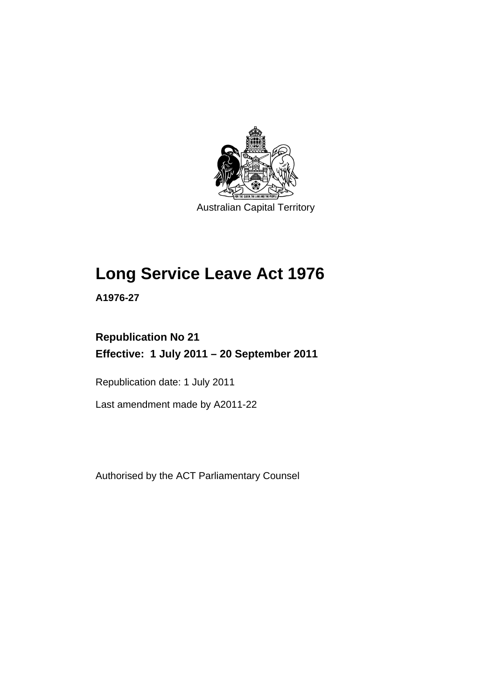

Australian Capital Territory

# **Long Service Leave Act 1976**

**A1976-27** 

## **Republication No 21 Effective: 1 July 2011 – 20 September 2011**

Republication date: 1 July 2011

Last amendment made by A2011-22

Authorised by the ACT Parliamentary Counsel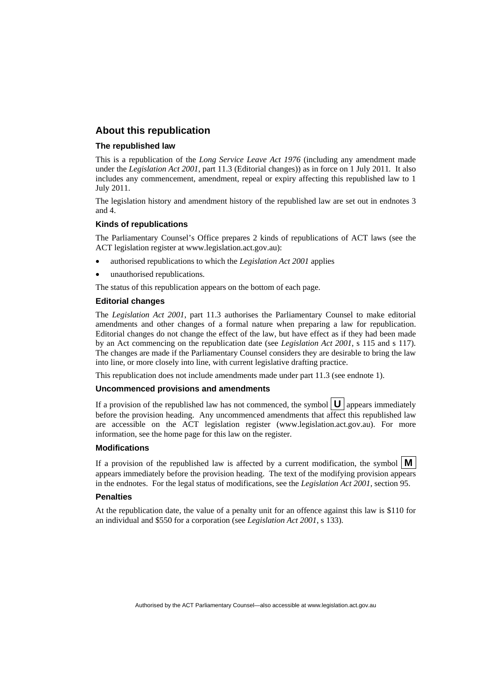#### **About this republication**

#### **The republished law**

This is a republication of the *Long Service Leave Act 1976* (including any amendment made under the *Legislation Act 2001*, part 11.3 (Editorial changes)) as in force on 1 July 2011*.* It also includes any commencement, amendment, repeal or expiry affecting this republished law to 1 July 2011.

The legislation history and amendment history of the republished law are set out in endnotes 3 and 4.

#### **Kinds of republications**

The Parliamentary Counsel's Office prepares 2 kinds of republications of ACT laws (see the ACT legislation register at www.legislation.act.gov.au):

- authorised republications to which the *Legislation Act 2001* applies
- unauthorised republications.

The status of this republication appears on the bottom of each page.

#### **Editorial changes**

The *Legislation Act 2001*, part 11.3 authorises the Parliamentary Counsel to make editorial amendments and other changes of a formal nature when preparing a law for republication. Editorial changes do not change the effect of the law, but have effect as if they had been made by an Act commencing on the republication date (see *Legislation Act 2001*, s 115 and s 117). The changes are made if the Parliamentary Counsel considers they are desirable to bring the law into line, or more closely into line, with current legislative drafting practice.

This republication does not include amendments made under part 11.3 (see endnote 1).

#### **Uncommenced provisions and amendments**

If a provision of the republished law has not commenced, the symbol  $\mathbf{U}$  appears immediately before the provision heading. Any uncommenced amendments that affect this republished law are accessible on the ACT legislation register (www.legislation.act.gov.au). For more information, see the home page for this law on the register.

#### **Modifications**

If a provision of the republished law is affected by a current modification, the symbol  $\vert \mathbf{M} \vert$ appears immediately before the provision heading. The text of the modifying provision appears in the endnotes. For the legal status of modifications, see the *Legislation Act 2001*, section 95.

#### **Penalties**

At the republication date, the value of a penalty unit for an offence against this law is \$110 for an individual and \$550 for a corporation (see *Legislation Act 2001*, s 133).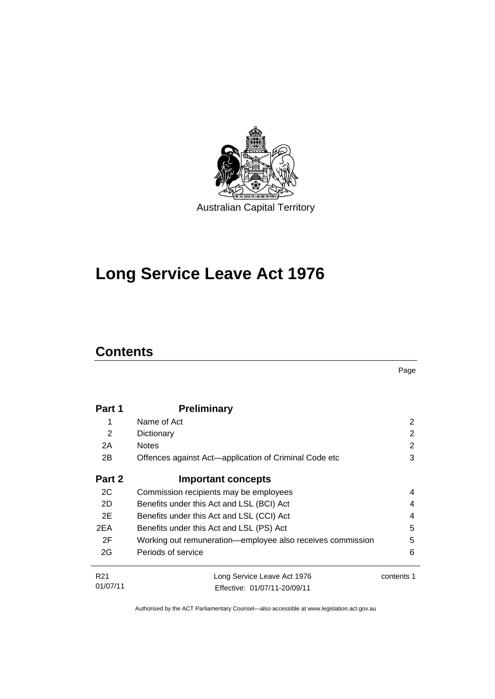

# **Long Service Leave Act 1976**

## **Contents**

Page

| Part 1          | <b>Preliminary</b>                                         |            |
|-----------------|------------------------------------------------------------|------------|
| 1               | Name of Act                                                | 2          |
| $\overline{2}$  | Dictionary                                                 | 2          |
| 2A              | <b>Notes</b>                                               | 2          |
| 2B              | Offences against Act-application of Criminal Code etc      | 3          |
| Part 2          | <b>Important concepts</b>                                  |            |
| 2C              | Commission recipients may be employees                     | 4          |
| 2D              | Benefits under this Act and LSL (BCI) Act                  |            |
| 2E              | Benefits under this Act and LSL (CCI) Act                  |            |
| 2EA             | Benefits under this Act and LSL (PS) Act                   | 5          |
| 2F              | Working out remuneration-employee also receives commission | 5          |
| 2G              | Periods of service                                         | 6          |
| R <sub>21</sub> | Long Service Leave Act 1976                                | contents 1 |
| 01/07/11        | Effective: 01/07/11-20/09/11                               |            |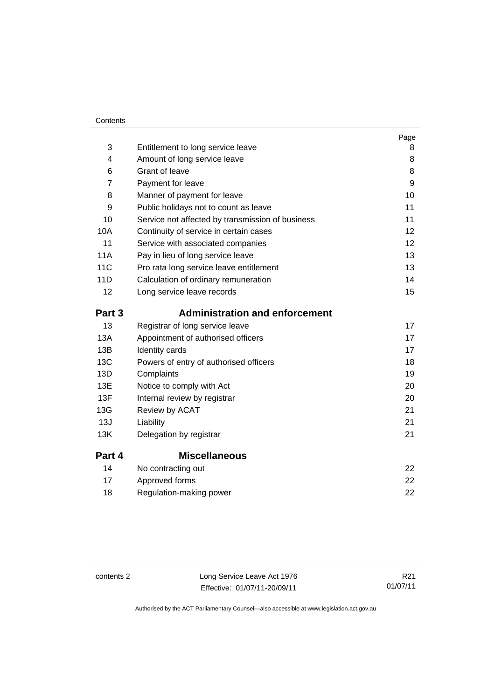| Contents |
|----------|
|----------|

|                |                                                  | Page |
|----------------|--------------------------------------------------|------|
| 3              | Entitlement to long service leave                | 8    |
| 4              | Amount of long service leave                     | 8    |
| 6              | <b>Grant of leave</b>                            | 8    |
| $\overline{7}$ | Payment for leave                                | 9    |
| 8              | Manner of payment for leave                      | 10   |
| 9              | Public holidays not to count as leave            | 11   |
| 10             | Service not affected by transmission of business | 11   |
| 10A            | Continuity of service in certain cases           | 12   |
| 11             | Service with associated companies                | 12   |
| <b>11A</b>     | Pay in lieu of long service leave                | 13   |
| 11C            | Pro rata long service leave entitlement          | 13   |
| 11D            | Calculation of ordinary remuneration             | 14   |
| 12             | Long service leave records                       | 15   |
| Part 3         | <b>Administration and enforcement</b>            |      |
| 13             | Registrar of long service leave                  | 17   |
| 13A            | Appointment of authorised officers               | 17   |
| 13B            | Identity cards                                   | 17   |
| 13C            | Powers of entry of authorised officers           | 18   |
| 13D            | Complaints                                       | 19   |
| 13E            | Notice to comply with Act                        | 20   |
| 13F            | Internal review by registrar                     | 20   |
| 13G            | Review by ACAT                                   | 21   |
| 13J            | Liability                                        | 21   |
| 13K            | Delegation by registrar                          | 21   |
| Part 4         | <b>Miscellaneous</b>                             |      |
| 14             | No contracting out                               | 22   |
|                |                                                  |      |

|    | .                       |    |
|----|-------------------------|----|
| 17 | Approved forms          | 22 |
| 18 | Regulation-making power | 22 |

contents 2 Long Service Leave Act 1976 Effective: 01/07/11-20/09/11

R21 01/07/11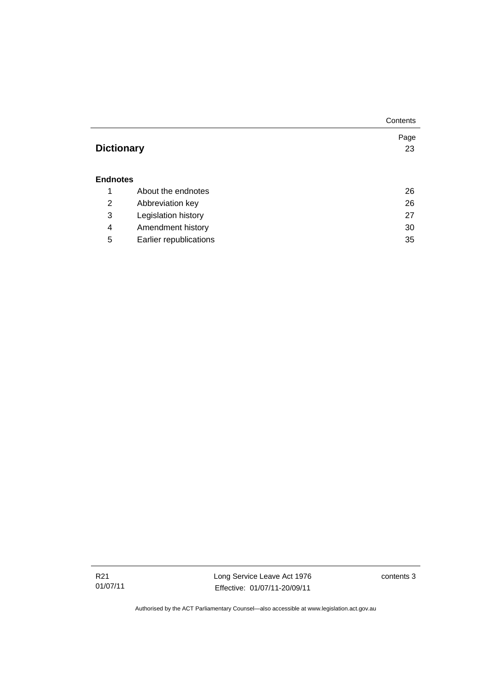|                   |                        | Contents |  |
|-------------------|------------------------|----------|--|
|                   |                        | Page     |  |
| <b>Dictionary</b> |                        | 23       |  |
|                   |                        |          |  |
| <b>Endnotes</b>   |                        |          |  |
| 1                 | About the endnotes     | 26       |  |
| 2                 | Abbreviation key       | 26       |  |
| 3                 | Legislation history    | 27       |  |
| 4                 | Amendment history      | 30       |  |
| 5                 | Earlier republications | 35       |  |

R21 01/07/11 Long Service Leave Act 1976 Effective: 01/07/11-20/09/11

contents 3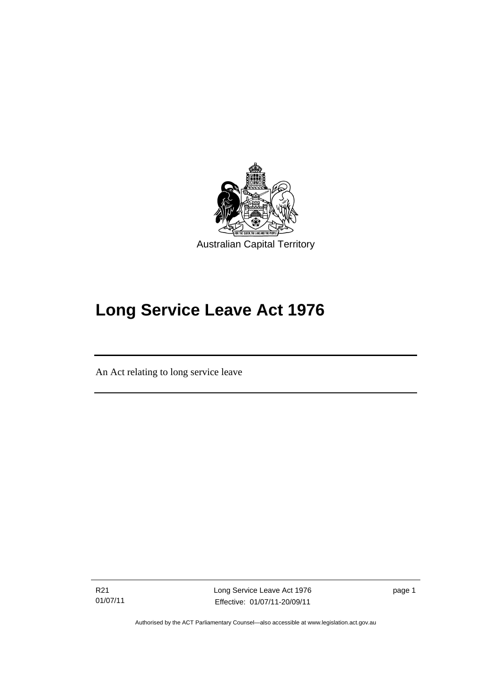

# **Long Service Leave Act 1976**

An Act relating to long service leave

R21 01/07/11

Ī

Long Service Leave Act 1976 Effective: 01/07/11-20/09/11

page 1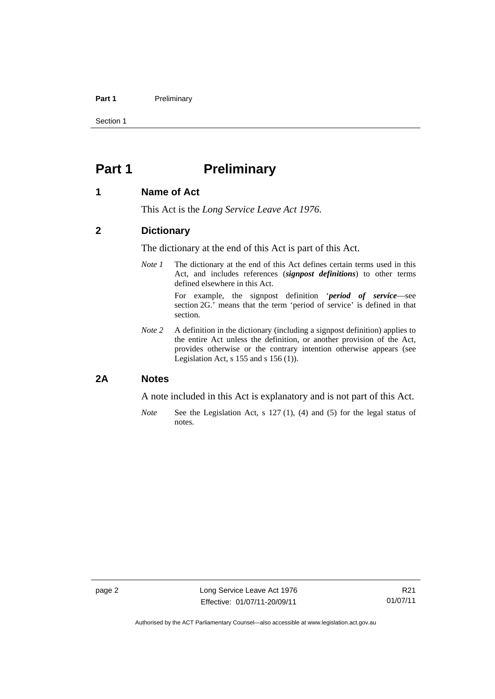#### Part 1 **Preliminary**

Section 1

## <span id="page-7-0"></span>**Part 1** Preliminary

#### <span id="page-7-1"></span>**1 Name of Act**

This Act is the *Long Service Leave Act 1976*.

#### <span id="page-7-2"></span>**2 Dictionary**

The dictionary at the end of this Act is part of this Act.

*Note 1* The dictionary at the end of this Act defines certain terms used in this Act, and includes references (*signpost definitions*) to other terms defined elsewhere in this Act.

> For example, the signpost definition '*period of service*—see section 2G.' means that the term 'period of service' is defined in that section.

*Note 2* A definition in the dictionary (including a signpost definition) applies to the entire Act unless the definition, or another provision of the Act, provides otherwise or the contrary intention otherwise appears (see Legislation Act, s 155 and s 156 (1)).

#### <span id="page-7-3"></span>**2A Notes**

A note included in this Act is explanatory and is not part of this Act.

*Note* See the Legislation Act, s 127 (1), (4) and (5) for the legal status of notes.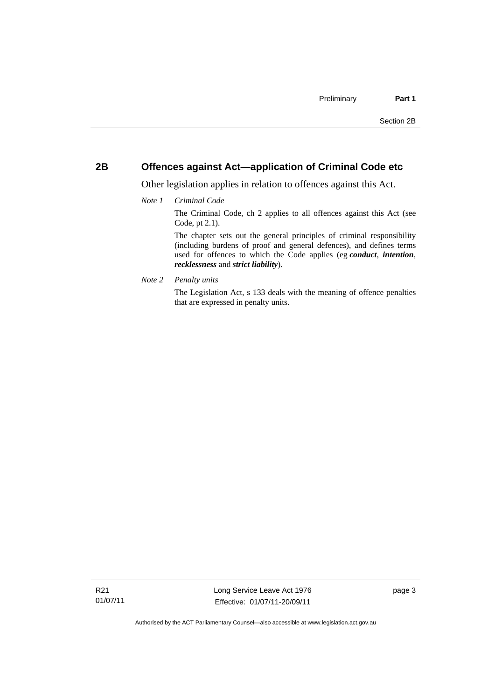#### <span id="page-8-0"></span>**2B Offences against Act—application of Criminal Code etc**

Other legislation applies in relation to offences against this Act.

*Note 1 Criminal Code*

The Criminal Code, ch 2 applies to all offences against this Act (see Code, pt 2.1).

The chapter sets out the general principles of criminal responsibility (including burdens of proof and general defences), and defines terms used for offences to which the Code applies (eg *conduct*, *intention*, *recklessness* and *strict liability*).

*Note 2 Penalty units* 

The Legislation Act, s 133 deals with the meaning of offence penalties that are expressed in penalty units.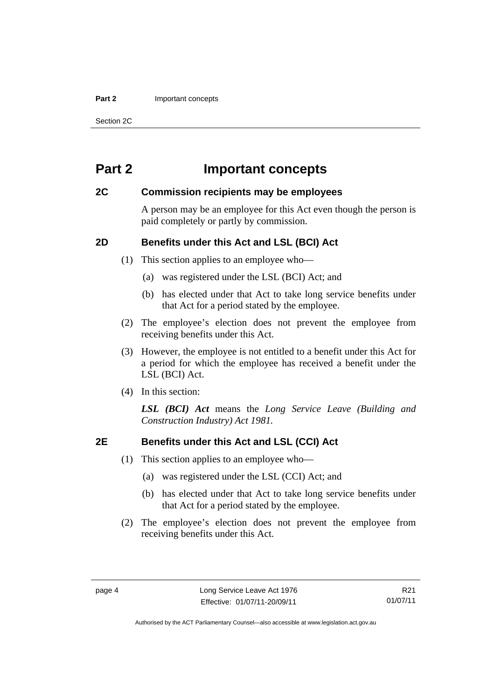#### **Part 2 Important concepts**

Section 2C

## <span id="page-9-0"></span>**Part 2 Important concepts**

#### <span id="page-9-1"></span>**2C Commission recipients may be employees**

A person may be an employee for this Act even though the person is paid completely or partly by commission.

### <span id="page-9-2"></span>**2D Benefits under this Act and LSL (BCI) Act**

(1) This section applies to an employee who—

- (a) was registered under the LSL (BCI) Act; and
- (b) has elected under that Act to take long service benefits under that Act for a period stated by the employee.
- (2) The employee's election does not prevent the employee from receiving benefits under this Act.
- (3) However, the employee is not entitled to a benefit under this Act for a period for which the employee has received a benefit under the LSL (BCI) Act.
- (4) In this section:

*LSL (BCI) Act* means the *Long Service Leave (Building and Construction Industry) Act 1981.*

#### <span id="page-9-3"></span>**2E Benefits under this Act and LSL (CCI) Act**

- (1) This section applies to an employee who—
	- (a) was registered under the LSL (CCI) Act; and
	- (b) has elected under that Act to take long service benefits under that Act for a period stated by the employee.
- (2) The employee's election does not prevent the employee from receiving benefits under this Act.

R21 01/07/11

Authorised by the ACT Parliamentary Counsel—also accessible at www.legislation.act.gov.au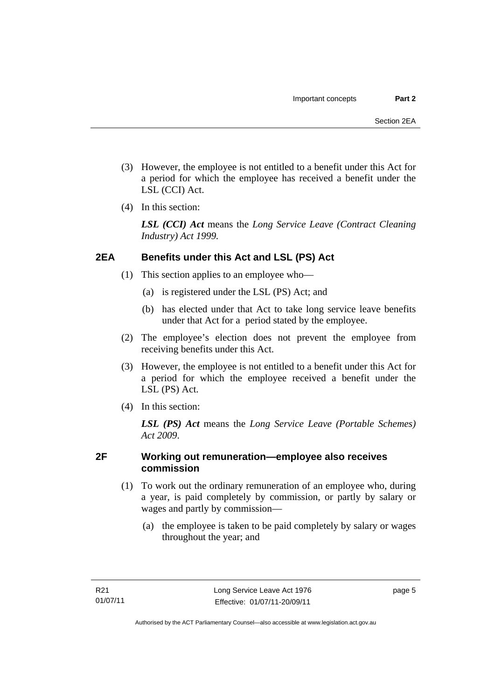- (3) However, the employee is not entitled to a benefit under this Act for a period for which the employee has received a benefit under the LSL (CCI) Act.
- (4) In this section:

*LSL (CCI) Act* means the *Long Service Leave (Contract Cleaning Industry) Act 1999.*

### <span id="page-10-0"></span>**2EA Benefits under this Act and LSL (PS) Act**

- (1) This section applies to an employee who—
	- (a) is registered under the LSL (PS) Act; and
	- (b) has elected under that Act to take long service leave benefits under that Act for a period stated by the employee.
- (2) The employee's election does not prevent the employee from receiving benefits under this Act.
- (3) However, the employee is not entitled to a benefit under this Act for a period for which the employee received a benefit under the LSL (PS) Act.
- (4) In this section:

*LSL (PS) Act* means the *Long Service Leave (Portable Schemes) Act 2009*.

### <span id="page-10-1"></span>**2F Working out remuneration—employee also receives commission**

- (1) To work out the ordinary remuneration of an employee who, during a year, is paid completely by commission, or partly by salary or wages and partly by commission—
	- (a) the employee is taken to be paid completely by salary or wages throughout the year; and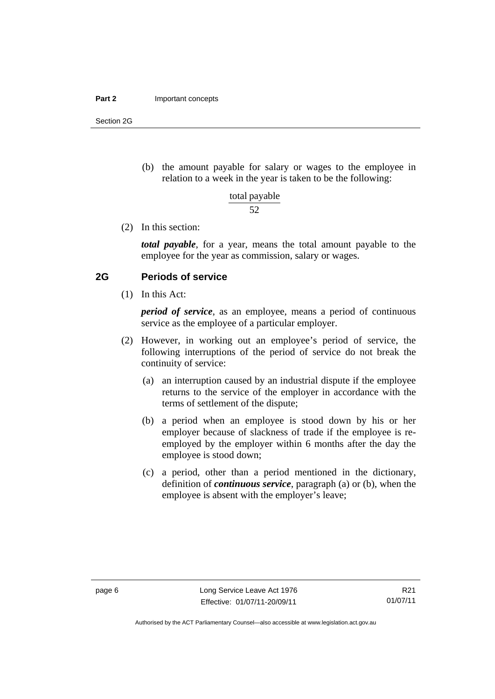#### **Part 2 Important concepts**

Section 2G

 (b) the amount payable for salary or wages to the employee in relation to a week in the year is taken to be the following:

total payable

52

(2) In this section:

*total payable*, for a year, means the total amount payable to the employee for the year as commission, salary or wages.

#### <span id="page-11-0"></span>**2G Periods of service**

(1) In this Act:

*period of service*, as an employee, means a period of continuous service as the employee of a particular employer.

- (2) However, in working out an employee's period of service, the following interruptions of the period of service do not break the continuity of service:
	- (a) an interruption caused by an industrial dispute if the employee returns to the service of the employer in accordance with the terms of settlement of the dispute;
	- (b) a period when an employee is stood down by his or her employer because of slackness of trade if the employee is reemployed by the employer within 6 months after the day the employee is stood down;
	- (c) a period, other than a period mentioned in the dictionary, definition of *continuous service*, paragraph (a) or (b), when the employee is absent with the employer's leave;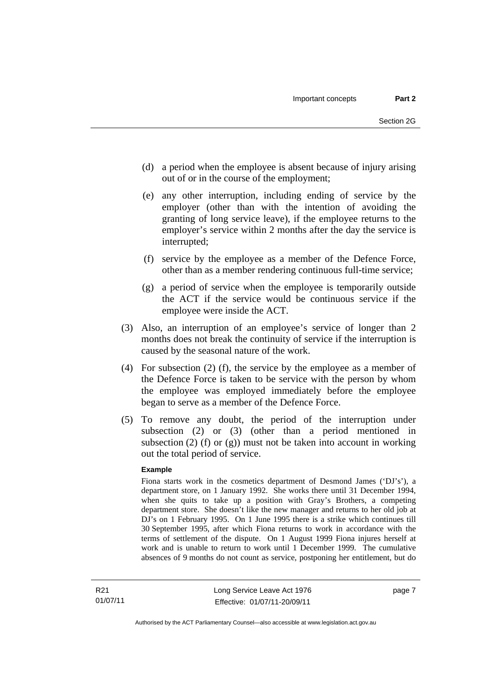- (d) a period when the employee is absent because of injury arising out of or in the course of the employment;
- (e) any other interruption, including ending of service by the employer (other than with the intention of avoiding the granting of long service leave), if the employee returns to the employer's service within 2 months after the day the service is interrupted;
- (f) service by the employee as a member of the Defence Force, other than as a member rendering continuous full-time service;
- (g) a period of service when the employee is temporarily outside the ACT if the service would be continuous service if the employee were inside the ACT.
- (3) Also, an interruption of an employee's service of longer than 2 months does not break the continuity of service if the interruption is caused by the seasonal nature of the work.
- (4) For subsection (2) (f), the service by the employee as a member of the Defence Force is taken to be service with the person by whom the employee was employed immediately before the employee began to serve as a member of the Defence Force.
- (5) To remove any doubt, the period of the interruption under subsection (2) or (3) (other than a period mentioned in subsection (2) (f) or (g)) must not be taken into account in working out the total period of service.

#### **Example**

Fiona starts work in the cosmetics department of Desmond James ('DJ's'), a department store, on 1 January 1992. She works there until 31 December 1994, when she quits to take up a position with Gray's Brothers, a competing department store. She doesn't like the new manager and returns to her old job at DJ's on 1 February 1995. On 1 June 1995 there is a strike which continues till 30 September 1995, after which Fiona returns to work in accordance with the terms of settlement of the dispute. On 1 August 1999 Fiona injures herself at work and is unable to return to work until 1 December 1999. The cumulative absences of 9 months do not count as service, postponing her entitlement, but do

page 7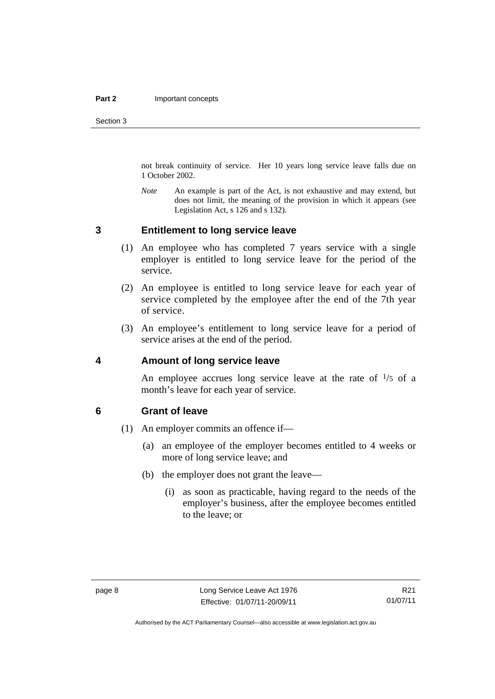Section 3

not break continuity of service. Her 10 years long service leave falls due on 1 October 2002.

*Note* An example is part of the Act, is not exhaustive and may extend, but does not limit, the meaning of the provision in which it appears (see Legislation Act, s 126 and s 132).

#### <span id="page-13-0"></span>**3 Entitlement to long service leave**

- (1) An employee who has completed 7 years service with a single employer is entitled to long service leave for the period of the service.
- (2) An employee is entitled to long service leave for each year of service completed by the employee after the end of the 7th year of service.
- (3) An employee's entitlement to long service leave for a period of service arises at the end of the period.

#### <span id="page-13-1"></span>**4 Amount of long service leave**

An employee accrues long service leave at the rate of  $\frac{1}{5}$  of a month's leave for each year of service.

#### <span id="page-13-2"></span>**6 Grant of leave**

- (1) An employer commits an offence if—
	- (a) an employee of the employer becomes entitled to 4 weeks or more of long service leave; and
	- (b) the employer does not grant the leave—
		- (i) as soon as practicable, having regard to the needs of the employer's business, after the employee becomes entitled to the leave; or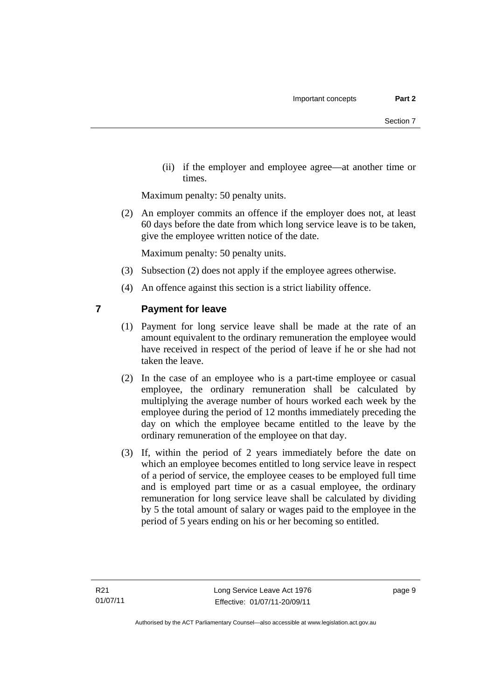(ii) if the employer and employee agree—at another time or times.

Maximum penalty: 50 penalty units.

 (2) An employer commits an offence if the employer does not, at least 60 days before the date from which long service leave is to be taken, give the employee written notice of the date.

Maximum penalty: 50 penalty units.

- (3) Subsection (2) does not apply if the employee agrees otherwise.
- (4) An offence against this section is a strict liability offence.

#### <span id="page-14-0"></span>**7 Payment for leave**

- (1) Payment for long service leave shall be made at the rate of an amount equivalent to the ordinary remuneration the employee would have received in respect of the period of leave if he or she had not taken the leave.
- (2) In the case of an employee who is a part-time employee or casual employee, the ordinary remuneration shall be calculated by multiplying the average number of hours worked each week by the employee during the period of 12 months immediately preceding the day on which the employee became entitled to the leave by the ordinary remuneration of the employee on that day.
- (3) If, within the period of 2 years immediately before the date on which an employee becomes entitled to long service leave in respect of a period of service, the employee ceases to be employed full time and is employed part time or as a casual employee, the ordinary remuneration for long service leave shall be calculated by dividing by 5 the total amount of salary or wages paid to the employee in the period of 5 years ending on his or her becoming so entitled.

page 9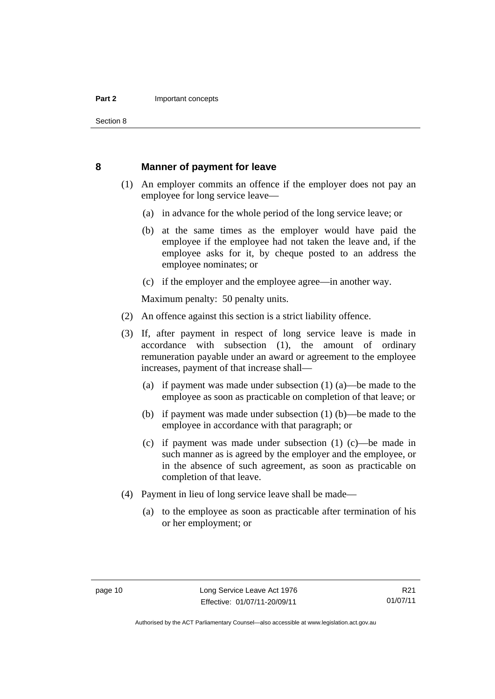Section 8

#### <span id="page-15-0"></span> **8 Manner of payment for leave**

- (1) An employer commits an offence if the employer does not pay an employee for long service leave—
	- (a) in advance for the whole period of the long service leave; or
	- (b) at the same times as the employer would have paid the employee if the employee had not taken the leave and, if the employee asks for it, by cheque posted to an address the employee nominates; or
	- (c) if the employer and the employee agree—in another way.

Maximum penalty: 50 penalty units.

- (2) An offence against this section is a strict liability offence.
- (3) If, after payment in respect of long service leave is made in accordance with subsection (1), the amount of ordinary remuneration payable under an award or agreement to the employee increases, payment of that increase shall—
	- (a) if payment was made under subsection (1) (a)—be made to the employee as soon as practicable on completion of that leave; or
	- (b) if payment was made under subsection (1) (b)—be made to the employee in accordance with that paragraph; or
	- (c) if payment was made under subsection (1) (c)—be made in such manner as is agreed by the employer and the employee, or in the absence of such agreement, as soon as practicable on completion of that leave.
- (4) Payment in lieu of long service leave shall be made—
	- (a) to the employee as soon as practicable after termination of his or her employment; or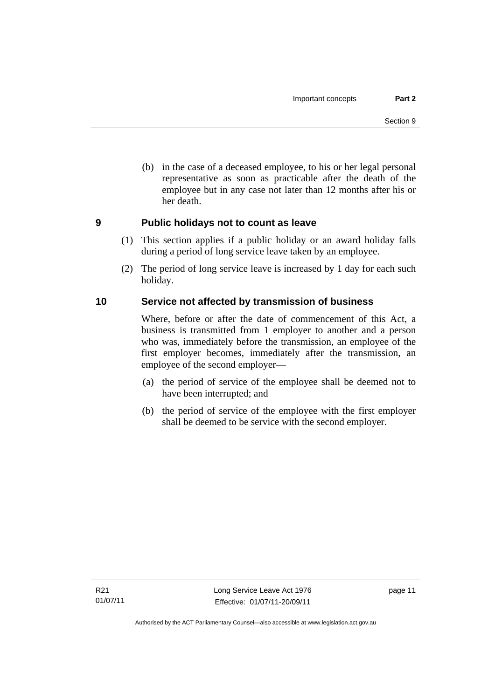(b) in the case of a deceased employee, to his or her legal personal representative as soon as practicable after the death of the employee but in any case not later than 12 months after his or her death.

#### <span id="page-16-0"></span>**9 Public holidays not to count as leave**

- (1) This section applies if a public holiday or an award holiday falls during a period of long service leave taken by an employee.
- (2) The period of long service leave is increased by 1 day for each such holiday.

#### <span id="page-16-1"></span>**10 Service not affected by transmission of business**

Where, before or after the date of commencement of this Act, a business is transmitted from 1 employer to another and a person who was, immediately before the transmission, an employee of the first employer becomes, immediately after the transmission, an employee of the second employer—

- (a) the period of service of the employee shall be deemed not to have been interrupted; and
- (b) the period of service of the employee with the first employer shall be deemed to be service with the second employer.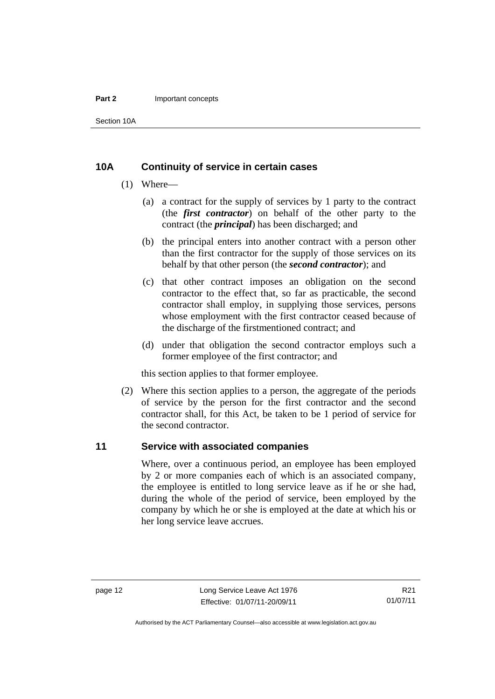#### **Part 2 Important concepts**

Section 10A

#### <span id="page-17-0"></span>**10A Continuity of service in certain cases**

- (1) Where—
	- (a) a contract for the supply of services by 1 party to the contract (the *first contractor*) on behalf of the other party to the contract (the *principal*) has been discharged; and
	- (b) the principal enters into another contract with a person other than the first contractor for the supply of those services on its behalf by that other person (the *second contractor*); and
	- (c) that other contract imposes an obligation on the second contractor to the effect that, so far as practicable, the second contractor shall employ, in supplying those services, persons whose employment with the first contractor ceased because of the discharge of the firstmentioned contract; and
	- (d) under that obligation the second contractor employs such a former employee of the first contractor; and

this section applies to that former employee.

 (2) Where this section applies to a person, the aggregate of the periods of service by the person for the first contractor and the second contractor shall, for this Act, be taken to be 1 period of service for the second contractor.

#### <span id="page-17-1"></span>**11 Service with associated companies**

Where, over a continuous period, an employee has been employed by 2 or more companies each of which is an associated company, the employee is entitled to long service leave as if he or she had, during the whole of the period of service, been employed by the company by which he or she is employed at the date at which his or her long service leave accrues.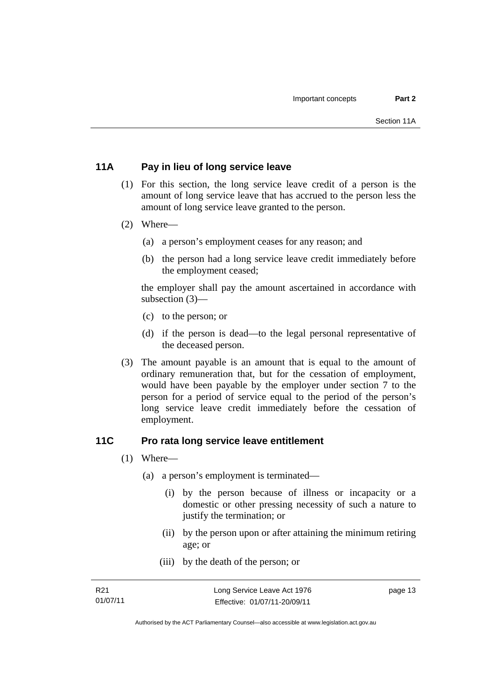#### <span id="page-18-0"></span>**11A Pay in lieu of long service leave**

- (1) For this section, the long service leave credit of a person is the amount of long service leave that has accrued to the person less the amount of long service leave granted to the person.
- (2) Where—
	- (a) a person's employment ceases for any reason; and
	- (b) the person had a long service leave credit immediately before the employment ceased;

the employer shall pay the amount ascertained in accordance with subsection (3)—

- (c) to the person; or
- (d) if the person is dead—to the legal personal representative of the deceased person.
- (3) The amount payable is an amount that is equal to the amount of ordinary remuneration that, but for the cessation of employment, would have been payable by the employer under section 7 to the person for a period of service equal to the period of the person's long service leave credit immediately before the cessation of employment.

#### <span id="page-18-1"></span>**11C Pro rata long service leave entitlement**

- (1) Where—
	- (a) a person's employment is terminated—
		- (i) by the person because of illness or incapacity or a domestic or other pressing necessity of such a nature to justify the termination; or
		- (ii) by the person upon or after attaining the minimum retiring age; or
		- (iii) by the death of the person; or

page 13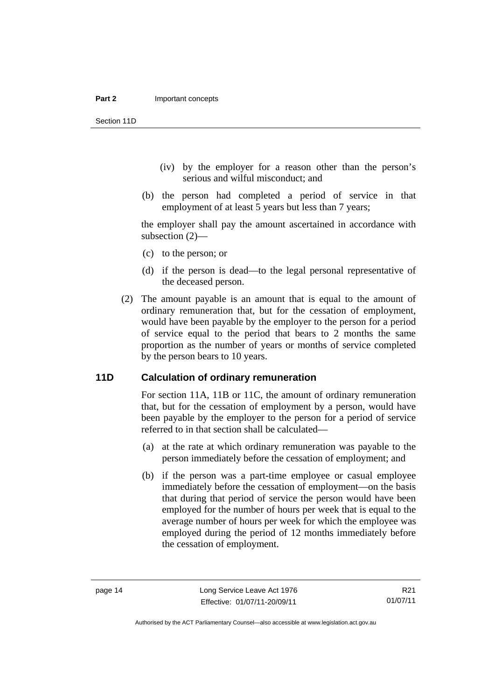Section 11D

- (iv) by the employer for a reason other than the person's serious and wilful misconduct; and
- (b) the person had completed a period of service in that employment of at least 5 years but less than 7 years;

the employer shall pay the amount ascertained in accordance with subsection (2)—

- (c) to the person; or
- (d) if the person is dead—to the legal personal representative of the deceased person.
- (2) The amount payable is an amount that is equal to the amount of ordinary remuneration that, but for the cessation of employment, would have been payable by the employer to the person for a period of service equal to the period that bears to 2 months the same proportion as the number of years or months of service completed by the person bears to 10 years.

#### <span id="page-19-0"></span>**11D Calculation of ordinary remuneration**

For section 11A, 11B or 11C, the amount of ordinary remuneration that, but for the cessation of employment by a person, would have been payable by the employer to the person for a period of service referred to in that section shall be calculated—

- (a) at the rate at which ordinary remuneration was payable to the person immediately before the cessation of employment; and
- (b) if the person was a part-time employee or casual employee immediately before the cessation of employment—on the basis that during that period of service the person would have been employed for the number of hours per week that is equal to the average number of hours per week for which the employee was employed during the period of 12 months immediately before the cessation of employment.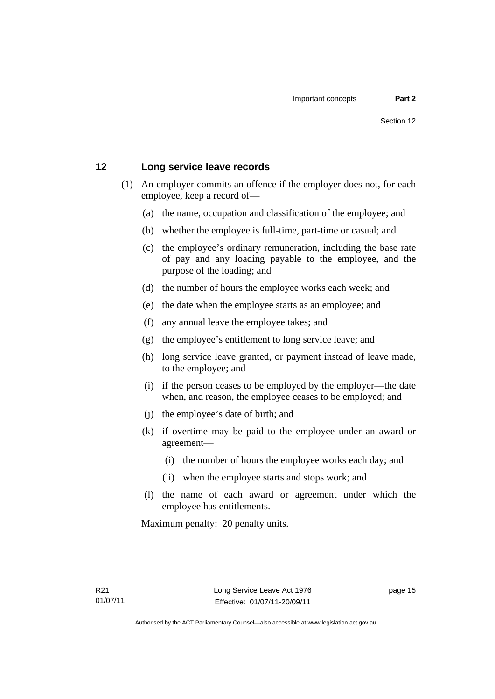#### <span id="page-20-0"></span>**12 Long service leave records**

- (1) An employer commits an offence if the employer does not, for each employee, keep a record of—
	- (a) the name, occupation and classification of the employee; and
	- (b) whether the employee is full-time, part-time or casual; and
	- (c) the employee's ordinary remuneration, including the base rate of pay and any loading payable to the employee, and the purpose of the loading; and
	- (d) the number of hours the employee works each week; and
	- (e) the date when the employee starts as an employee; and
	- (f) any annual leave the employee takes; and
	- (g) the employee's entitlement to long service leave; and
	- (h) long service leave granted, or payment instead of leave made, to the employee; and
	- (i) if the person ceases to be employed by the employer—the date when, and reason, the employee ceases to be employed; and
	- (j) the employee's date of birth; and
	- (k) if overtime may be paid to the employee under an award or agreement—
		- (i) the number of hours the employee works each day; and
		- (ii) when the employee starts and stops work; and
	- (l) the name of each award or agreement under which the employee has entitlements.

Maximum penalty: 20 penalty units.

page 15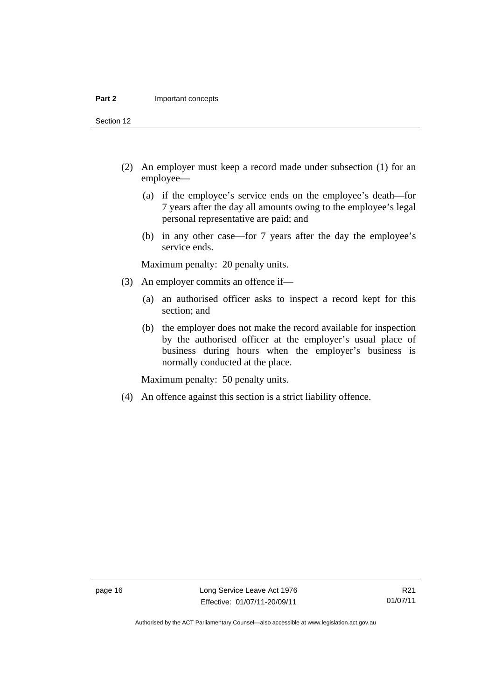Section 12

- (2) An employer must keep a record made under subsection (1) for an employee—
	- (a) if the employee's service ends on the employee's death—for 7 years after the day all amounts owing to the employee's legal personal representative are paid; and
	- (b) in any other case—for 7 years after the day the employee's service ends.

Maximum penalty: 20 penalty units.

- (3) An employer commits an offence if—
	- (a) an authorised officer asks to inspect a record kept for this section; and
	- (b) the employer does not make the record available for inspection by the authorised officer at the employer's usual place of business during hours when the employer's business is normally conducted at the place.

Maximum penalty: 50 penalty units.

(4) An offence against this section is a strict liability offence.

Authorised by the ACT Parliamentary Counsel—also accessible at www.legislation.act.gov.au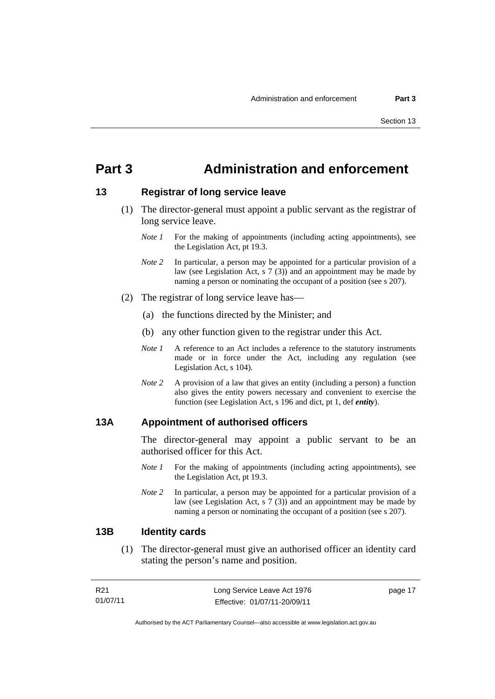## <span id="page-22-0"></span>**Part 3 Administration and enforcement**

#### <span id="page-22-1"></span>**13 Registrar of long service leave**

- (1) The director-general must appoint a public servant as the registrar of long service leave.
	- *Note 1* For the making of appointments (including acting appointments), see the Legislation Act, pt 19.3.
	- *Note 2* In particular, a person may be appointed for a particular provision of a law (see Legislation Act, s 7 (3)) and an appointment may be made by naming a person or nominating the occupant of a position (see s 207).
- (2) The registrar of long service leave has—
	- (a) the functions directed by the Minister; and
	- (b) any other function given to the registrar under this Act.
	- *Note 1* A reference to an Act includes a reference to the statutory instruments made or in force under the Act, including any regulation (see Legislation Act, s 104).
	- *Note 2* A provision of a law that gives an entity (including a person) a function also gives the entity powers necessary and convenient to exercise the function (see Legislation Act, s 196 and dict, pt 1, def *entity*).

#### <span id="page-22-2"></span>**13A Appointment of authorised officers**

The director-general may appoint a public servant to be an authorised officer for this Act.

- *Note 1* For the making of appointments (including acting appointments), see the Legislation Act, pt 19.3.
- *Note 2* In particular, a person may be appointed for a particular provision of a law (see Legislation Act, s 7 (3)) and an appointment may be made by naming a person or nominating the occupant of a position (see s 207).

#### <span id="page-22-3"></span>**13B Identity cards**

 (1) The director-general must give an authorised officer an identity card stating the person's name and position.

| R21      | Long Service Leave Act 1976  | page 17 |
|----------|------------------------------|---------|
| 01/07/11 | Effective: 01/07/11-20/09/11 |         |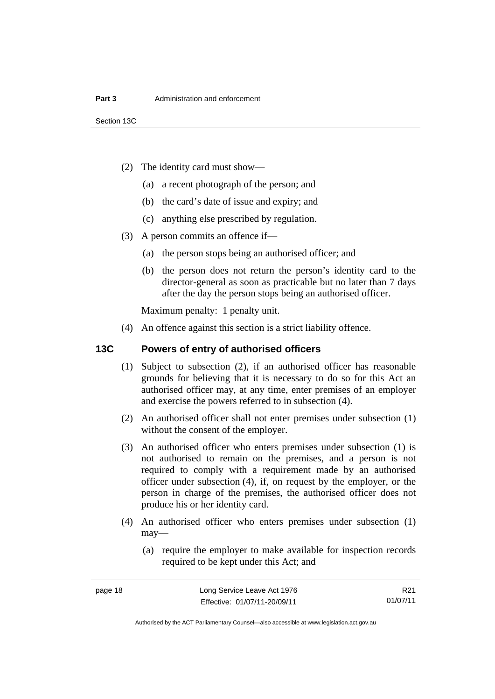- (2) The identity card must show—
	- (a) a recent photograph of the person; and
	- (b) the card's date of issue and expiry; and
	- (c) anything else prescribed by regulation.
- (3) A person commits an offence if—
	- (a) the person stops being an authorised officer; and
	- (b) the person does not return the person's identity card to the director-general as soon as practicable but no later than 7 days after the day the person stops being an authorised officer.

Maximum penalty: 1 penalty unit.

(4) An offence against this section is a strict liability offence.

#### <span id="page-23-0"></span>**13C Powers of entry of authorised officers**

- (1) Subject to subsection (2), if an authorised officer has reasonable grounds for believing that it is necessary to do so for this Act an authorised officer may, at any time, enter premises of an employer and exercise the powers referred to in subsection (4).
- (2) An authorised officer shall not enter premises under subsection (1) without the consent of the employer.
- (3) An authorised officer who enters premises under subsection (1) is not authorised to remain on the premises, and a person is not required to comply with a requirement made by an authorised officer under subsection (4), if, on request by the employer, or the person in charge of the premises, the authorised officer does not produce his or her identity card.
- (4) An authorised officer who enters premises under subsection (1) may—
	- (a) require the employer to make available for inspection records required to be kept under this Act; and

R21 01/07/11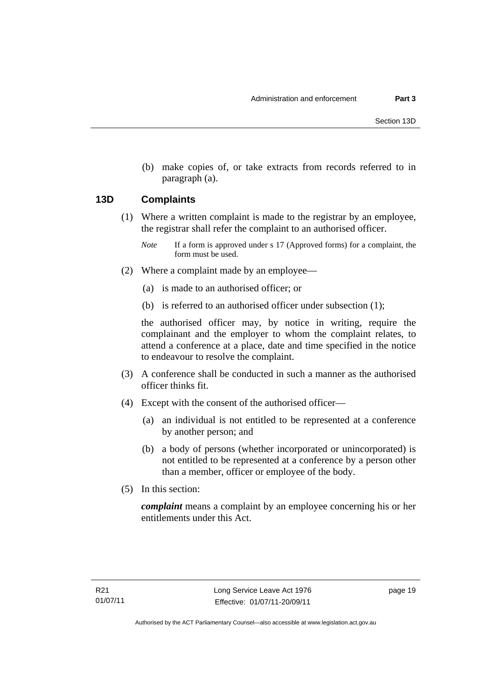(b) make copies of, or take extracts from records referred to in paragraph (a).

#### <span id="page-24-0"></span>**13D Complaints**

- (1) Where a written complaint is made to the registrar by an employee, the registrar shall refer the complaint to an authorised officer.
	- *Note* If a form is approved under s 17 (Approved forms) for a complaint, the form must be used.
- (2) Where a complaint made by an employee—
	- (a) is made to an authorised officer; or
	- (b) is referred to an authorised officer under subsection (1);

the authorised officer may, by notice in writing, require the complainant and the employer to whom the complaint relates, to attend a conference at a place, date and time specified in the notice to endeavour to resolve the complaint.

- (3) A conference shall be conducted in such a manner as the authorised officer thinks fit.
- (4) Except with the consent of the authorised officer—
	- (a) an individual is not entitled to be represented at a conference by another person; and
	- (b) a body of persons (whether incorporated or unincorporated) is not entitled to be represented at a conference by a person other than a member, officer or employee of the body.
- (5) In this section:

*complaint* means a complaint by an employee concerning his or her entitlements under this Act.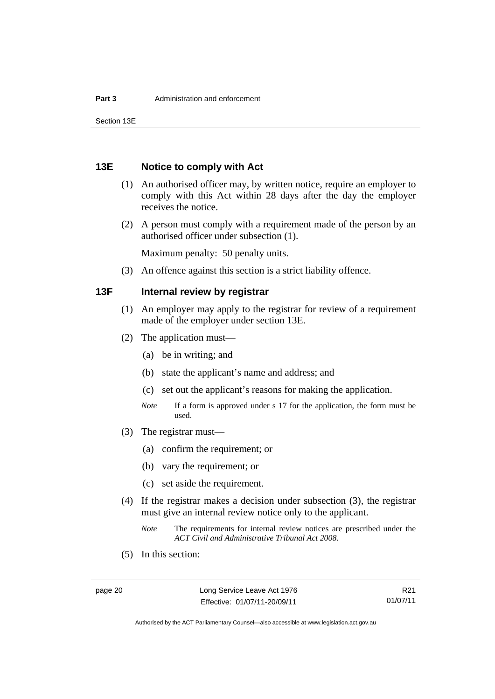Section 13E

#### <span id="page-25-0"></span>**13E Notice to comply with Act**

- (1) An authorised officer may, by written notice, require an employer to comply with this Act within 28 days after the day the employer receives the notice.
- (2) A person must comply with a requirement made of the person by an authorised officer under subsection (1).

Maximum penalty: 50 penalty units.

(3) An offence against this section is a strict liability offence.

#### <span id="page-25-1"></span>**13F Internal review by registrar**

- (1) An employer may apply to the registrar for review of a requirement made of the employer under section 13E.
- (2) The application must—
	- (a) be in writing; and
	- (b) state the applicant's name and address; and
	- (c) set out the applicant's reasons for making the application.
	- *Note* If a form is approved under s 17 for the application, the form must be used.
- (3) The registrar must—
	- (a) confirm the requirement; or
	- (b) vary the requirement; or
	- (c) set aside the requirement.
- (4) If the registrar makes a decision under subsection (3), the registrar must give an internal review notice only to the applicant.
	- *Note* The requirements for internal review notices are prescribed under the *ACT Civil and Administrative Tribunal Act 2008*.
- (5) In this section:

R21 01/07/11

Authorised by the ACT Parliamentary Counsel—also accessible at www.legislation.act.gov.au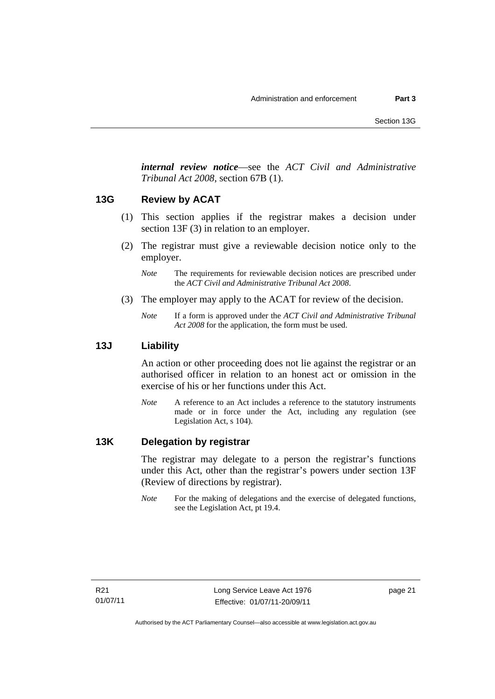*internal review notice*—see the *ACT Civil and Administrative Tribunal Act 2008*, section 67B (1).

#### <span id="page-26-0"></span>**13G Review by ACAT**

- (1) This section applies if the registrar makes a decision under section 13F (3) in relation to an employer.
- (2) The registrar must give a reviewable decision notice only to the employer.

*Note* The requirements for reviewable decision notices are prescribed under the *ACT Civil and Administrative Tribunal Act 2008*.

- (3) The employer may apply to the ACAT for review of the decision.
	- *Note* If a form is approved under the *ACT Civil and Administrative Tribunal Act 2008* for the application, the form must be used.

#### <span id="page-26-1"></span>**13J Liability**

An action or other proceeding does not lie against the registrar or an authorised officer in relation to an honest act or omission in the exercise of his or her functions under this Act.

*Note* A reference to an Act includes a reference to the statutory instruments made or in force under the Act, including any regulation (see Legislation Act, s 104).

#### <span id="page-26-2"></span>**13K Delegation by registrar**

The registrar may delegate to a person the registrar's functions under this Act, other than the registrar's powers under section 13F (Review of directions by registrar).

*Note* For the making of delegations and the exercise of delegated functions, see the Legislation Act, pt 19.4.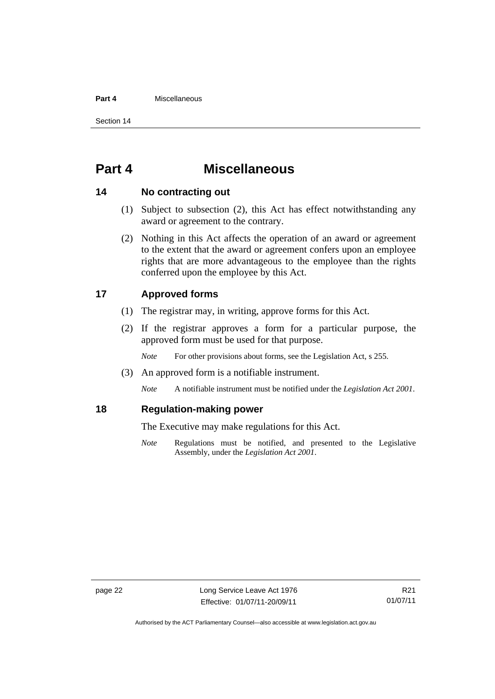#### **Part 4** Miscellaneous

Section 14

## <span id="page-27-0"></span>**Part 4 Miscellaneous**

#### <span id="page-27-1"></span>**14 No contracting out**

- (1) Subject to subsection (2), this Act has effect notwithstanding any award or agreement to the contrary.
- (2) Nothing in this Act affects the operation of an award or agreement to the extent that the award or agreement confers upon an employee rights that are more advantageous to the employee than the rights conferred upon the employee by this Act.

#### <span id="page-27-2"></span>**17 Approved forms**

- (1) The registrar may, in writing, approve forms for this Act.
- (2) If the registrar approves a form for a particular purpose, the approved form must be used for that purpose.

*Note* For other provisions about forms, see the Legislation Act, s 255.

(3) An approved form is a notifiable instrument.

*Note* A notifiable instrument must be notified under the *Legislation Act 2001*.

#### <span id="page-27-3"></span>**18 Regulation-making power**

The Executive may make regulations for this Act.

*Note* Regulations must be notified, and presented to the Legislative Assembly, under the *Legislation Act 2001*.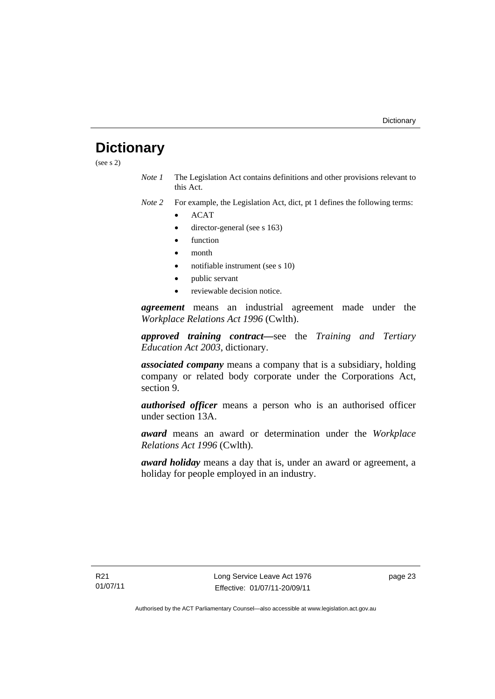## <span id="page-28-0"></span>**Dictionary**

(see s 2)

*Note 1* The Legislation Act contains definitions and other provisions relevant to this Act.

*Note 2* For example, the Legislation Act, dict, pt 1 defines the following terms:

- ACAT
- director-general (see s 163)
- function
- month
- notifiable instrument (see s 10)
- public servant
- reviewable decision notice.

*agreement* means an industrial agreement made under the *Workplace Relations Act 1996* (Cwlth).

*approved training contract—*see the *Training and Tertiary Education Act 2003*, dictionary.

*associated company* means a company that is a subsidiary, holding company or related body corporate under the Corporations Act, section 9.

*authorised officer* means a person who is an authorised officer under section 13A.

*award* means an award or determination under the *Workplace Relations Act 1996* (Cwlth).

*award holiday* means a day that is, under an award or agreement, a holiday for people employed in an industry.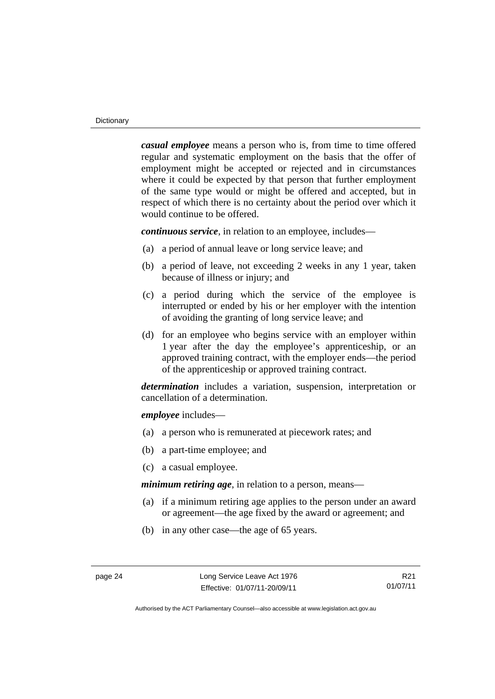*casual employee* means a person who is, from time to time offered regular and systematic employment on the basis that the offer of employment might be accepted or rejected and in circumstances where it could be expected by that person that further employment of the same type would or might be offered and accepted, but in respect of which there is no certainty about the period over which it would continue to be offered.

*continuous service*, in relation to an employee, includes—

- (a) a period of annual leave or long service leave; and
- (b) a period of leave, not exceeding 2 weeks in any 1 year, taken because of illness or injury; and
- (c) a period during which the service of the employee is interrupted or ended by his or her employer with the intention of avoiding the granting of long service leave; and
- (d) for an employee who begins service with an employer within 1 year after the day the employee's apprenticeship, or an approved training contract, with the employer ends—the period of the apprenticeship or approved training contract.

*determination* includes a variation, suspension, interpretation or cancellation of a determination.

*employee* includes—

- (a) a person who is remunerated at piecework rates; and
- (b) a part-time employee; and
- (c) a casual employee.

*minimum retiring age*, in relation to a person, means—

- (a) if a minimum retiring age applies to the person under an award or agreement—the age fixed by the award or agreement; and
- (b) in any other case—the age of 65 years.

R21 01/07/11

Authorised by the ACT Parliamentary Counsel—also accessible at www.legislation.act.gov.au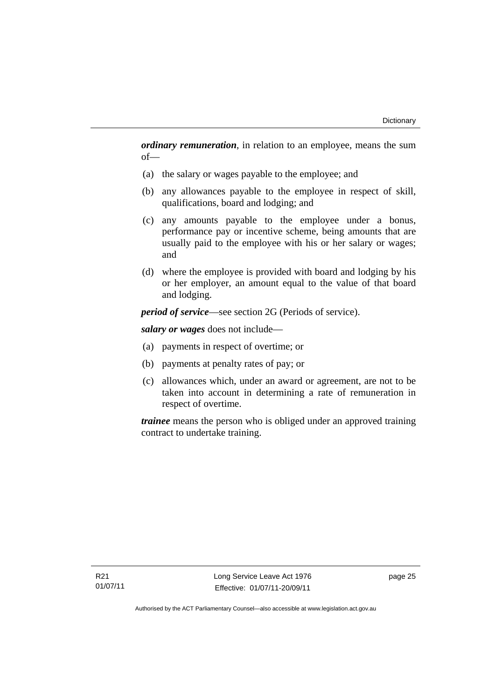*ordinary remuneration*, in relation to an employee, means the sum of—

- (a) the salary or wages payable to the employee; and
- (b) any allowances payable to the employee in respect of skill, qualifications, board and lodging; and
- (c) any amounts payable to the employee under a bonus, performance pay or incentive scheme, being amounts that are usually paid to the employee with his or her salary or wages; and
- (d) where the employee is provided with board and lodging by his or her employer, an amount equal to the value of that board and lodging.

*period of service*—see section 2G (Periods of service).

*salary or wages* does not include—

- (a) payments in respect of overtime; or
- (b) payments at penalty rates of pay; or
- (c) allowances which, under an award or agreement, are not to be taken into account in determining a rate of remuneration in respect of overtime.

*trainee* means the person who is obliged under an approved training contract to undertake training.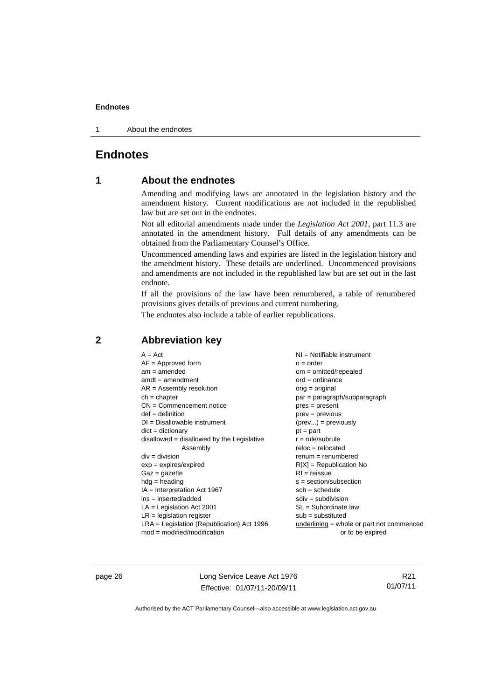1 About the endnotes

#### <span id="page-31-0"></span>**Endnotes**

#### **1 About the endnotes**

Amending and modifying laws are annotated in the legislation history and the amendment history. Current modifications are not included in the republished law but are set out in the endnotes.

Not all editorial amendments made under the *Legislation Act 2001*, part 11.3 are annotated in the amendment history. Full details of any amendments can be obtained from the Parliamentary Counsel's Office.

Uncommenced amending laws and expiries are listed in the legislation history and the amendment history. These details are underlined. Uncommenced provisions and amendments are not included in the republished law but are set out in the last endnote.

If all the provisions of the law have been renumbered, a table of renumbered provisions gives details of previous and current numbering.

The endnotes also include a table of earlier republications.

#### <span id="page-31-2"></span>**2 Abbreviation key**

page 26 Long Service Leave Act 1976 Effective: 01/07/11-20/09/11

R21 01/07/11

<span id="page-31-1"></span>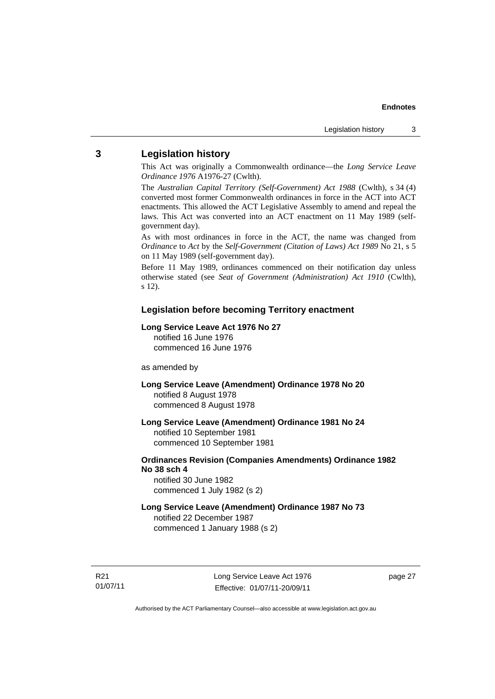#### <span id="page-32-0"></span>**3 Legislation history**

This Act was originally a Commonwealth ordinance—the *Long Service Leave Ordinance 1976* A1976-27 (Cwlth).

The *Australian Capital Territory (Self-Government) Act 1988* (Cwlth), s 34 (4) converted most former Commonwealth ordinances in force in the ACT into ACT enactments. This allowed the ACT Legislative Assembly to amend and repeal the laws. This Act was converted into an ACT enactment on 11 May 1989 (selfgovernment day).

As with most ordinances in force in the ACT, the name was changed from *Ordinance* to *Act* by the *Self-Government (Citation of Laws) Act 1989* No 21, s 5 on 11 May 1989 (self-government day).

Before 11 May 1989, ordinances commenced on their notification day unless otherwise stated (see *Seat of Government (Administration) Act 1910* (Cwlth), s 12).

#### **Legislation before becoming Territory enactment**

#### **Long Service Leave Act 1976 No 27**

notified 16 June 1976 commenced 16 June 1976

#### as amended by

**Long Service Leave (Amendment) Ordinance 1978 No 20**  notified 8 August 1978 commenced 8 August 1978

**Long Service Leave (Amendment) Ordinance 1981 No 24**  notified 10 September 1981 commenced 10 September 1981

#### **Ordinances Revision (Companies Amendments) Ordinance 1982 No 38 sch 4**

notified 30 June 1982 commenced 1 July 1982 (s 2)

#### **Long Service Leave (Amendment) Ordinance 1987 No 73**  notified 22 December 1987 commenced 1 January 1988 (s 2)

R21 01/07/11 Long Service Leave Act 1976 Effective: 01/07/11-20/09/11

page 27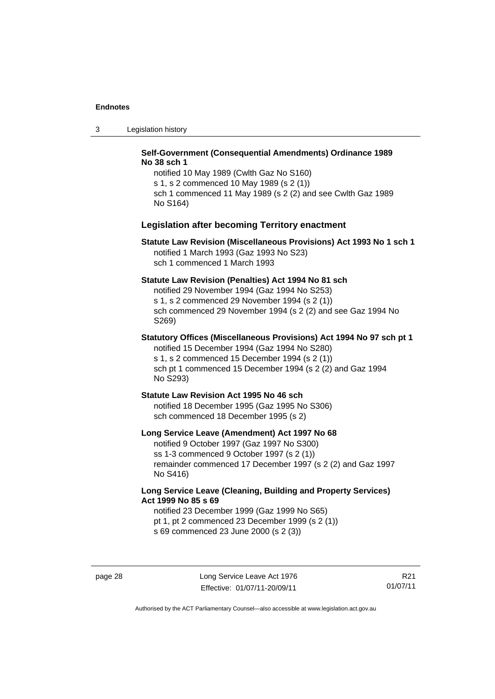3 Legislation history

#### **Self-Government (Consequential Amendments) Ordinance 1989 No 38 sch 1**

notified 10 May 1989 (Cwlth Gaz No S160) s 1, s 2 commenced 10 May 1989 (s 2 (1)) sch 1 commenced 11 May 1989 (s 2 (2) and see Cwlth Gaz 1989 No S164)

#### **Legislation after becoming Territory enactment**

#### **Statute Law Revision (Miscellaneous Provisions) Act 1993 No 1 sch 1**  notified 1 March 1993 (Gaz 1993 No S23) sch 1 commenced 1 March 1993

#### **Statute Law Revision (Penalties) Act 1994 No 81 sch**

notified 29 November 1994 (Gaz 1994 No S253) s 1, s 2 commenced 29 November 1994 (s 2 (1)) sch commenced 29 November 1994 (s 2 (2) and see Gaz 1994 No S269)

#### **Statutory Offices (Miscellaneous Provisions) Act 1994 No 97 sch pt 1**

notified 15 December 1994 (Gaz 1994 No S280) s 1, s 2 commenced 15 December 1994 (s 2 (1)) sch pt 1 commenced 15 December 1994 (s 2 (2) and Gaz 1994 No S293)

#### **Statute Law Revision Act 1995 No 46 sch**

notified 18 December 1995 (Gaz 1995 No S306) sch commenced 18 December 1995 (s 2)

#### **Long Service Leave (Amendment) Act 1997 No 68**

notified 9 October 1997 (Gaz 1997 No S300) ss 1-3 commenced 9 October 1997 (s 2 (1)) remainder commenced 17 December 1997 (s 2 (2) and Gaz 1997 No S416)

#### **Long Service Leave (Cleaning, Building and Property Services) Act 1999 No 85 s 69**

notified 23 December 1999 (Gaz 1999 No S65) pt 1, pt 2 commenced 23 December 1999 (s 2 (1)) s 69 commenced 23 June 2000 (s 2 (3))

R21 01/07/11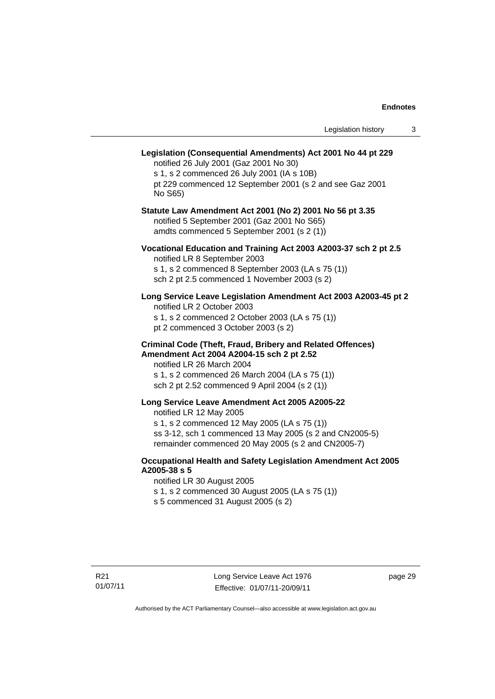| Legislation (Consequential Amendments) Act 2001 No 44 pt 229<br>notified 26 July 2001 (Gaz 2001 No 30)<br>s 1, s 2 commenced 26 July 2001 (IA s 10B)<br>pt 229 commenced 12 September 2001 (s 2 and see Gaz 2001<br>No S65)                     |
|-------------------------------------------------------------------------------------------------------------------------------------------------------------------------------------------------------------------------------------------------|
| Statute Law Amendment Act 2001 (No 2) 2001 No 56 pt 3.35<br>notified 5 September 2001 (Gaz 2001 No S65)<br>amdts commenced 5 September 2001 (s 2 (1))                                                                                           |
| Vocational Education and Training Act 2003 A2003-37 sch 2 pt 2.5<br>notified LR 8 September 2003<br>s 1, s 2 commenced 8 September 2003 (LA s 75 (1))<br>sch 2 pt 2.5 commenced 1 November 2003 (s 2)                                           |
| Long Service Leave Legislation Amendment Act 2003 A2003-45 pt 2<br>notified LR 2 October 2003<br>s 1, s 2 commenced 2 October 2003 (LA s 75 (1))<br>pt 2 commenced 3 October 2003 (s 2)                                                         |
| <b>Criminal Code (Theft, Fraud, Bribery and Related Offences)</b><br>Amendment Act 2004 A2004-15 sch 2 pt 2.52<br>notified LR 26 March 2004<br>s 1, s 2 commenced 26 March 2004 (LA s 75 (1))<br>sch 2 pt 2.52 commenced 9 April 2004 (s 2 (1)) |
| Long Service Leave Amendment Act 2005 A2005-22<br>notified LR 12 May 2005<br>s 1, s 2 commenced 12 May 2005 (LA s 75 (1))<br>ss 3-12, sch 1 commenced 13 May 2005 (s 2 and CN2005-5)<br>remainder commenced 20 May 2005 (s 2 and CN2005-7)      |
| Occupational Health and Safety Legislation Amendment Act 2005<br>A2005-38 s 5<br>notified LR 30 August 2005<br>s 1, s 2 commenced 30 August 2005 (LA s 75 (1))<br>s 5 commenced 31 August 2005 (s 2)                                            |

page 29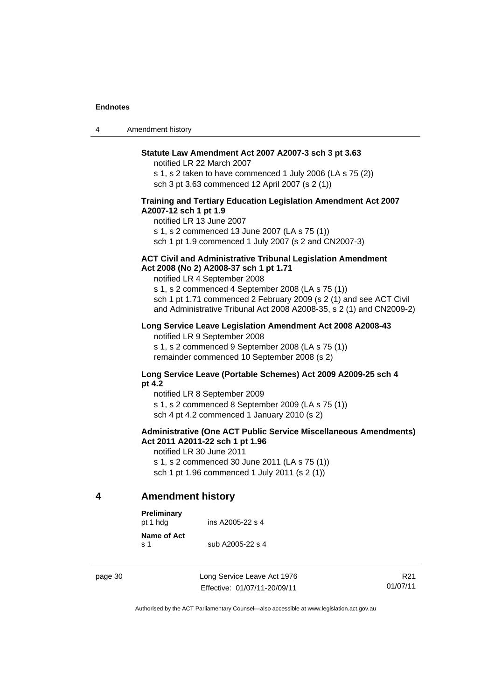| 4 | Amendment history                                                                                                                                                                                                                                                                                                                               |
|---|-------------------------------------------------------------------------------------------------------------------------------------------------------------------------------------------------------------------------------------------------------------------------------------------------------------------------------------------------|
|   | Statute Law Amendment Act 2007 A2007-3 sch 3 pt 3.63<br>notified LR 22 March 2007<br>s 1, s 2 taken to have commenced 1 July 2006 (LA s 75 (2))<br>sch 3 pt 3.63 commenced 12 April 2007 (s 2 (1))                                                                                                                                              |
|   | Training and Tertiary Education Legislation Amendment Act 2007<br>A2007-12 sch 1 pt 1.9<br>notified LR 13 June 2007<br>s 1, s 2 commenced 13 June 2007 (LA s 75 (1))<br>sch 1 pt 1.9 commenced 1 July 2007 (s 2 and CN2007-3)                                                                                                                   |
|   | <b>ACT Civil and Administrative Tribunal Legislation Amendment</b><br>Act 2008 (No 2) A2008-37 sch 1 pt 1.71<br>notified LR 4 September 2008<br>s 1, s 2 commenced 4 September 2008 (LA s 75 (1))<br>sch 1 pt 1.71 commenced 2 February 2009 (s 2 (1) and see ACT Civil<br>and Administrative Tribunal Act 2008 A2008-35, s 2 (1) and CN2009-2) |
|   | Long Service Leave Legislation Amendment Act 2008 A2008-43<br>notified LR 9 September 2008<br>s 1, s 2 commenced 9 September 2008 (LA s 75 (1))                                                                                                                                                                                                 |

#### **Long Service Leave (Portable Schemes) Act 2009 A2009-25 sch 4 pt 4.2**

notified LR 8 September 2009 s 1, s 2 commenced 8 September 2009 (LA s 75 (1)) sch 4 pt 4.2 commenced 1 January 2010 (s 2)

remainder commenced 10 September 2008 (s 2)

#### **Administrative (One ACT Public Service Miscellaneous Amendments) Act 2011 A2011-22 sch 1 pt 1.96**

notified LR 30 June 2011 s 1, s 2 commenced 30 June 2011 (LA s 75 (1)) sch 1 pt 1.96 commenced 1 July 2011 (s 2 (1))

#### <span id="page-35-0"></span>**4 Amendment history**

| <b>Preliminary</b><br>pt 1 hdg | ins A2005-22 s 4 |
|--------------------------------|------------------|
| Name of Act<br>$\mathbf{s}$ 1  | sub A2005-22 s 4 |

page 30 Long Service Leave Act 1976 Effective: 01/07/11-20/09/11

R21 01/07/11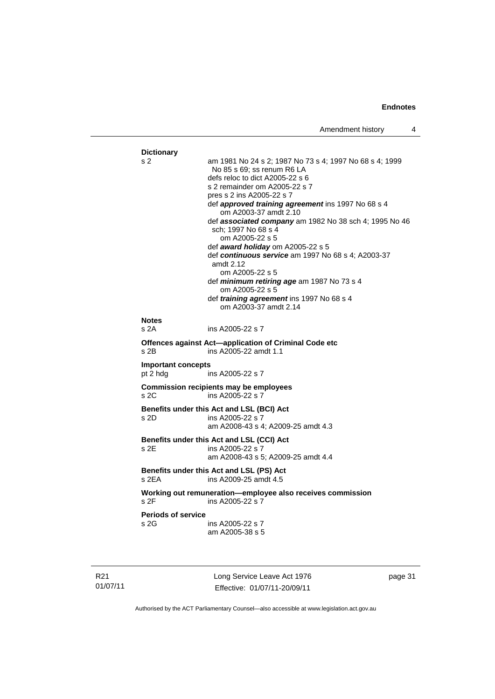#### **Dictionary**  s 2 am 1981 No 24 s 2; 1987 No 73 s 4; 1997 No 68 s 4; 1999 No 85 s 69; ss renum R6 LA defs reloc to dict A2005-22 s 6 s 2 remainder om A2005-22 s 7 pres s 2 ins A2005-22 s 7 def *approved training agreement* ins 1997 No 68 s 4 om A2003-37 amdt 2.10 def *associated company* am 1982 No 38 sch 4; 1995 No 46 sch; 1997 No 68 s 4 om A2005-22 s 5 def *award holiday* om A2005-22 s 5 def *continuous service* am 1997 No 68 s 4; A2003-37 amdt 2.12 om A2005-22 s 5 def *minimum retiring age* am 1987 No 73 s 4 om A2005-22 s 5 def *training agreement* ins 1997 No 68 s 4 om A2003-37 amdt 2.14 **Notes**  s 2A ins A2005-22 s 7 **Offences against Act—application of Criminal Code etc**  s 2B ins A2005-22 amdt 1.1 **Important concepts**  pt 2 hdg ins A2005-22 s 7 **Commission recipients may be employees**  s 2C ins A2005-22 s 7 **Benefits under this Act and LSL (BCI) Act**  s 2D ins A2005-22 s 7 am A2008-43 s 4; A2009-25 amdt 4.3 **Benefits under this Act and LSL (CCI) Act**  ins A2005-22 s 7 am A2008-43 s 5; A2009-25 amdt 4.4 **Benefits under this Act and LSL (PS) Act**  s 2EA ins A2009-25 amdt 4.5 **Working out remuneration—employee also receives commission**  s 2F ins A2005-22 s 7 **Periods of service**  s 2G ins A2005-22 s 7 am A2005-38 s 5

R21 01/07/11 Long Service Leave Act 1976 Effective: 01/07/11-20/09/11

page 31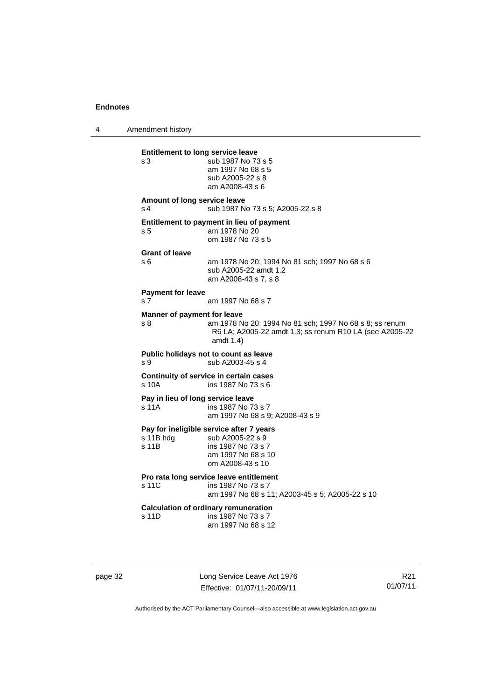4 Amendment history

| s3                                             | sub 1987 No 73 s 5<br>am 1997 No 68 s 5<br>sub A2005-22 s 8<br>am A2008-43 s 6                                                     |
|------------------------------------------------|------------------------------------------------------------------------------------------------------------------------------------|
| Amount of long service leave<br>s <sub>4</sub> | sub 1987 No 73 s 5; A2005-22 s 8                                                                                                   |
| s <sub>5</sub>                                 | Entitlement to payment in lieu of payment<br>am 1978 No 20<br>om 1987 No 73 s 5                                                    |
| <b>Grant of leave</b><br>s 6                   | am 1978 No 20; 1994 No 81 sch; 1997 No 68 s 6<br>sub A2005-22 amdt 1.2<br>am A2008-43 s 7, s 8                                     |
| <b>Payment for leave</b>                       |                                                                                                                                    |
| s <sub>7</sub>                                 | am 1997 No 68 s 7                                                                                                                  |
| Manner of payment for leave<br>s 8             | am 1978 No 20; 1994 No 81 sch; 1997 No 68 s 8; ss renum<br>R6 LA; A2005-22 amdt 1.3; ss renum R10 LA (see A2005-22<br>amdt $1.4$ ) |
| s 9                                            | Public holidays not to count as leave<br>sub A2003-45 s 4                                                                          |
| s 10A                                          | Continuity of service in certain cases<br>ins 1987 No 73 s 6                                                                       |
| s 11A                                          | Pay in lieu of long service leave<br>ins 1987 No 73 s 7<br>am 1997 No 68 s 9; A2008-43 s 9                                         |
| s 11B hdg<br>s 11B                             | Pay for ineligible service after 7 years<br>sub A2005-22 s 9<br>ins 1987 No 73 s 7<br>am 1997 No 68 s 10<br>om A2008-43 s 10       |
| s 11C                                          | Pro rata long service leave entitlement<br>ins 1987 No 73 s 7<br>am 1997 No 68 s 11; A2003-45 s 5; A2005-22 s 10                   |
| s 11D                                          | <b>Calculation of ordinary remuneration</b><br>ins 1987 No 73 s 7<br>am 1997 No 68 s 12                                            |

page 32 Long Service Leave Act 1976 Effective: 01/07/11-20/09/11

R21 01/07/11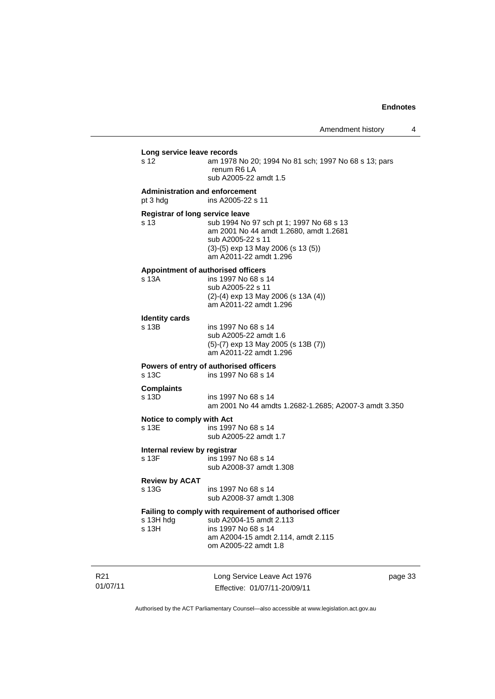|                             | Long service leave records<br>s 12                | am 1978 No 20; 1994 No 81 sch; 1997 No 68 s 13; pars<br>renum R6 LA<br>sub A2005-22 amdt 1.5                                                                              |         |
|-----------------------------|---------------------------------------------------|---------------------------------------------------------------------------------------------------------------------------------------------------------------------------|---------|
|                             | <b>Administration and enforcement</b><br>pt 3 hdg | ins A2005-22 s 11                                                                                                                                                         |         |
|                             | Registrar of long service leave<br>s 13           | sub 1994 No 97 sch pt 1; 1997 No 68 s 13<br>am 2001 No 44 amdt 1.2680, amdt 1.2681<br>sub A2005-22 s 11<br>$(3)-(5)$ exp 13 May 2006 (s 13 (5))<br>am A2011-22 amdt 1.296 |         |
|                             | s 13A                                             | Appointment of authorised officers<br>ins 1997 No 68 s 14<br>sub A2005-22 s 11<br>$(2)-(4)$ exp 13 May 2006 (s 13A $(4)$ )<br>am A2011-22 amdt 1.296                      |         |
|                             | <b>Identity cards</b><br>s 13B                    | ins 1997 No 68 s 14<br>sub A2005-22 amdt 1.6<br>$(5)-(7)$ exp 13 May 2005 (s 13B $(7)$ )<br>am A2011-22 amdt 1.296                                                        |         |
|                             | s 13C                                             | Powers of entry of authorised officers<br>ins 1997 No 68 s 14                                                                                                             |         |
|                             | <b>Complaints</b><br>s 13D                        | ins 1997 No 68 s 14<br>am 2001 No 44 amdts 1.2682-1.2685; A2007-3 amdt 3.350                                                                                              |         |
|                             | Notice to comply with Act<br>s 13E                | ins 1997 No 68 s 14<br>sub A2005-22 amdt 1.7                                                                                                                              |         |
|                             | Internal review by registrar<br>s 13F             | ins 1997 No 68 s 14<br>sub A2008-37 amdt 1.308                                                                                                                            |         |
|                             | <b>Review by ACAT</b><br>s 13G                    | ins 1997 No 68 s 14<br>sub A2008-37 amdt 1.308                                                                                                                            |         |
|                             | s 13H hdg<br>s <sub>13H</sub>                     | Failing to comply with requirement of authorised officer<br>sub A2004-15 amdt 2.113<br>ins 1997 No 68 s 14<br>am A2004-15 amdt 2.114, amdt 2.115<br>om A2005-22 amdt 1.8  |         |
| R <sub>21</sub><br>01/07/11 |                                                   | Long Service Leave Act 1976<br>Effective: 01/07/11-20/09/11                                                                                                               | page 33 |

Authorised by the ACT Parliamentary Counsel—also accessible at www.legislation.act.gov.au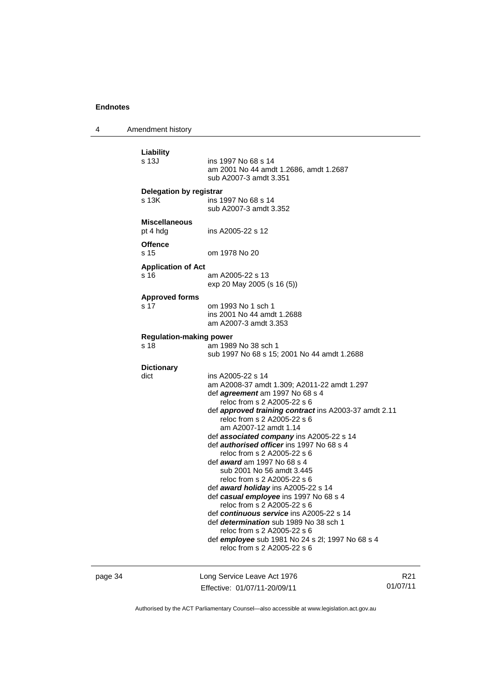4 Amendment history

| Liability                      |                                                                                           |
|--------------------------------|-------------------------------------------------------------------------------------------|
| s 13J                          | ins 1997 No 68 s 14<br>am 2001 No 44 amdt 1.2686, amdt 1.2687<br>sub A2007-3 amdt 3.351   |
| <b>Delegation by registrar</b> |                                                                                           |
| s 13K                          | ins 1997 No 68 s 14<br>sub A2007-3 amdt 3.352                                             |
| <b>Miscellaneous</b>           |                                                                                           |
| pt 4 hdg                       | ins A2005-22 s 12                                                                         |
| <b>Offence</b>                 |                                                                                           |
| s 15                           | om 1978 No 20                                                                             |
| <b>Application of Act</b>      |                                                                                           |
| s 16                           | am A2005-22 s 13                                                                          |
|                                | exp 20 May 2005 (s 16 (5))                                                                |
| <b>Approved forms</b>          |                                                                                           |
| s 17                           | om 1993 No 1 sch 1                                                                        |
|                                | ins 2001 No 44 amdt 1.2688                                                                |
|                                | am A2007-3 amdt 3.353                                                                     |
| <b>Regulation-making power</b> |                                                                                           |
| s 18                           | am 1989 No 38 sch 1                                                                       |
|                                | sub 1997 No 68 s 15; 2001 No 44 amdt 1.2688                                               |
| <b>Dictionary</b>              |                                                                                           |
| dict                           | ins A2005-22 s 14                                                                         |
|                                | am A2008-37 amdt 1.309; A2011-22 amdt 1.297                                               |
|                                | def agreement am 1997 No 68 s 4<br>reloc from s 2 A2005-22 s 6                            |
|                                | def approved training contract ins A2003-37 amdt 2.11                                     |
|                                | reloc from s 2 A2005-22 s 6                                                               |
|                                | am A2007-12 amdt 1.14                                                                     |
|                                | def <b>associated company</b> ins A2005-22 s 14                                           |
|                                | def <i>authorised officer</i> ins 1997 No 68 s 4                                          |
|                                | reloc from s 2 A2005-22 s 6                                                               |
|                                | def <i>award</i> am 1997 No 68 s 4                                                        |
|                                | sub 2001 No 56 amdt 3.445                                                                 |
|                                | reloc from s 2 A2005-22 s 6                                                               |
|                                | def award holiday ins A2005-22 s 14                                                       |
|                                | def casual employee ins 1997 No 68 s 4                                                    |
|                                | reloc from s 2 A2005-22 s 6                                                               |
|                                | def continuous service ins A2005-22 s 14<br>def <i>determination</i> sub 1989 No 38 sch 1 |
|                                | reloc from s 2 A2005-22 s 6                                                               |
|                                | def employee sub 1981 No 24 s 2l; 1997 No 68 s 4                                          |
|                                | reloc from s 2 A2005-22 s 6                                                               |

page 34 Long Service Leave Act 1976 Effective: 01/07/11-20/09/11

R21 01/07/11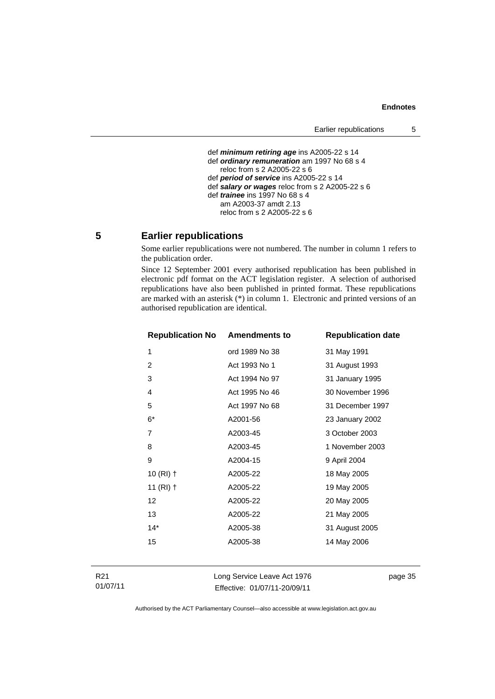```
 def minimum retiring age ins A2005-22 s 14 
def ordinary remuneration am 1997 No 68 s 4
  reloc from s 2 A2005-22 s 6 
def period of service ins A2005-22 s 14 
def salary or wages reloc from s 2 A2005-22 s 6 
def trainee ins 1997 No 68 s 4 
   am A2003-37 amdt 2.13 
   reloc from s 2 A2005-22 s 6
```
#### <span id="page-40-0"></span>**5 Earlier republications**

Some earlier republications were not numbered. The number in column 1 refers to the publication order.

Since 12 September 2001 every authorised republication has been published in electronic pdf format on the ACT legislation register. A selection of authorised republications have also been published in printed format. These republications are marked with an asterisk (\*) in column 1. Electronic and printed versions of an authorised republication are identical.

| <b>Republication No Amendments to</b> |                | <b>Republication date</b> |
|---------------------------------------|----------------|---------------------------|
| 1                                     | ord 1989 No 38 | 31 May 1991               |
| $\overline{2}$                        | Act 1993 No 1  | 31 August 1993            |
| 3                                     | Act 1994 No 97 | 31 January 1995           |
| 4                                     | Act 1995 No 46 | 30 November 1996          |
| 5                                     | Act 1997 No 68 | 31 December 1997          |
| $6*$                                  | A2001-56       | 23 January 2002           |
| 7                                     | A2003-45       | 3 October 2003            |
| 8                                     | A2003-45       | 1 November 2003           |
| 9                                     | A2004-15       | 9 April 2004              |
| 10 $(RI)$ †                           | A2005-22       | 18 May 2005               |
| 11 $(RI)$ †                           | A2005-22       | 19 May 2005               |
| 12                                    | A2005-22       | 20 May 2005               |
| 13                                    | A2005-22       | 21 May 2005               |
| $14*$                                 | A2005-38       | 31 August 2005            |
| 15                                    | A2005-38       | 14 May 2006               |
|                                       |                |                           |

Long Service Leave Act 1976 Effective: 01/07/11-20/09/11

page 35